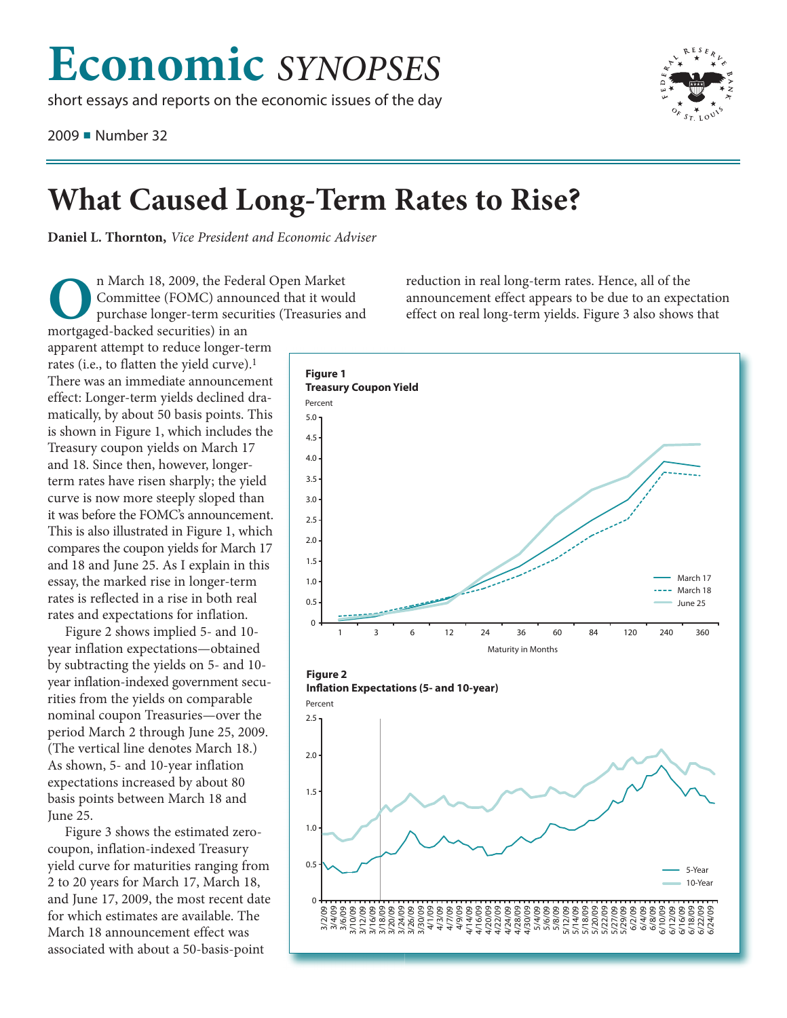## **Economic** *SYNOPSES*

short essays and reports on the economic issues of the day

2009 ■ Number 32



## **What Caused Long-Term Rates to Rise?**

**Daniel L. Thornton,** *Vice President and Economic Adviser*

In March 18, 2009, the Federal Open Market<br>Committee (FOMC) announced that it wou<br>purchase longer-term securities (Treasuries<br>mortgaged-backed securities) in an Committee (FOMC) announced that it would purchase longer-term securities (Treasuries and mortgaged-backed securities) in an

apparent attempt to reduce longer-term rates (i.e., to flatten the yield curve). 1 There was an immediate announcement effect: Longer-term yields declined dramatically, by about 50 basis points. This is shown in Figure 1, which includes the Treasury coupon yields on March 17 and 18. Since then, however, longerterm rates have risen sharply; the yield curve is now more steeply sloped than it was before the FOMC's announcement. This is also illustrated in Figure 1, which compares the coupon yields for March 17 and 18 and June 25. As I explain in this essay, the marked rise in longer-term rates is reflected in a rise in both real rates and expectations for inflation.

Figure 2 shows implied 5- and 10 year inflation expectations—obtained by subtracting the yields on 5- and 10 year inflation-indexed government securities from the yields on comparable nominal coupon Treasuries—over the period March 2 through June 25, 2009. (The vertical line denotes March 18.) As shown, 5- and 10-year inflation expectations increased by about 80 basis points between March 18 and June 25.

Figure 3 shows the estimated zerocoupon, inflation-indexed Treasury yield curve for maturities ranging from 2 to 20 years for March 17, March 18, and June 17, 2009, the most recent date for which estimates are available. The March 18 announcement effect was associated with about a 50-basis-point

reduction in real long-term rates. Hence, all of the announcement effect appears to be due to an expectation effect on real long-term yields. Figure 3 also shows that